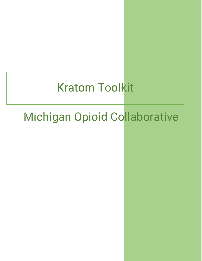# **Kratom Toolkit**

# Michigan Opioid Collaborative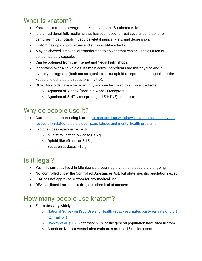# What is kratom?

- Kratom is a tropical evergreen tree native to the Southeast Asia.
- It is a traditional folk medicine that has been used to treat several conditions for centuries, most notably musculoskeletal pain, anxiety, and depression.
- Kratom has opioid properties and stimulant-like effects.
- May be chewed, smoked, or transformed to powder that can be used as a tea or consumed as a capsule.
- Can be obtained from the internet and "legal high" shops.
- It contains over 40 alkaloids. Its main active ingredients are mitragynine and 7 hydroxymitragynine (both act as agonists at mu-opioid receptor and antagonist at the kappa and delta opioid receptors in vitro).
- Other Alkaloids have a broad infinity and can be linked to stimulant effects:
	- o Agonism of Alpha2 (possible Alpha1) receptors
	- $\circ$  Agonism of 5-HT<sub>2A</sub> receptors (and 5-HT<sub>1A</sub>?) receptors

## Why do people use it?

- Current users report using kratom to manage drug withdrawal symptoms and cravings [\(especially related to opioid use\), pain, fatigue and mental health problems.](https://www.sciencedirect.com/science/article/abs/pii/S0376871620300144?via%3Dihub)
- Exhibits dose dependent effects
	- o Mild stimulant at low doses < 5 g
	- o Opioid-like effects at 5-15 g
	- o Sedation at doses >15 g

## Is it legal?

- Yes, it is currently legal in Michigan, although legislation and debate are ongoing
- Not controlled under the Controlled Substances Act, but state specific regulations exist
- FDA has not approved kratom for any medical use
- DEA has listed kratom as a drug and chemical of concern

#### How many people use kratom?

- Estimates vary widely:
	- o [National Survey on Drug Use and Health \(2020\)](https://www.samhsa.gov/data/sites/default/files/reports/rpt35325/NSDUHFFRPDFWHTMLFiles2020/2020NSDUHFFR1PDFW102121.pdf) estimates past-year rate of 0.8% (2.1 [million\)](https://www.samhsa.gov/data/sites/default/files/reports/rpt35325/NSDUHFFRPDFWHTMLFiles2020/2020NSDUHFFR1PDFW102121.pdf)
	- o [Covvey et al.](https://pubmed.ncbi.nlm.nih.gov/32657217/) (2020) estimate 6.1% of the general population have tried Kratom
	- o American Kratom Association estimates around 15 million users